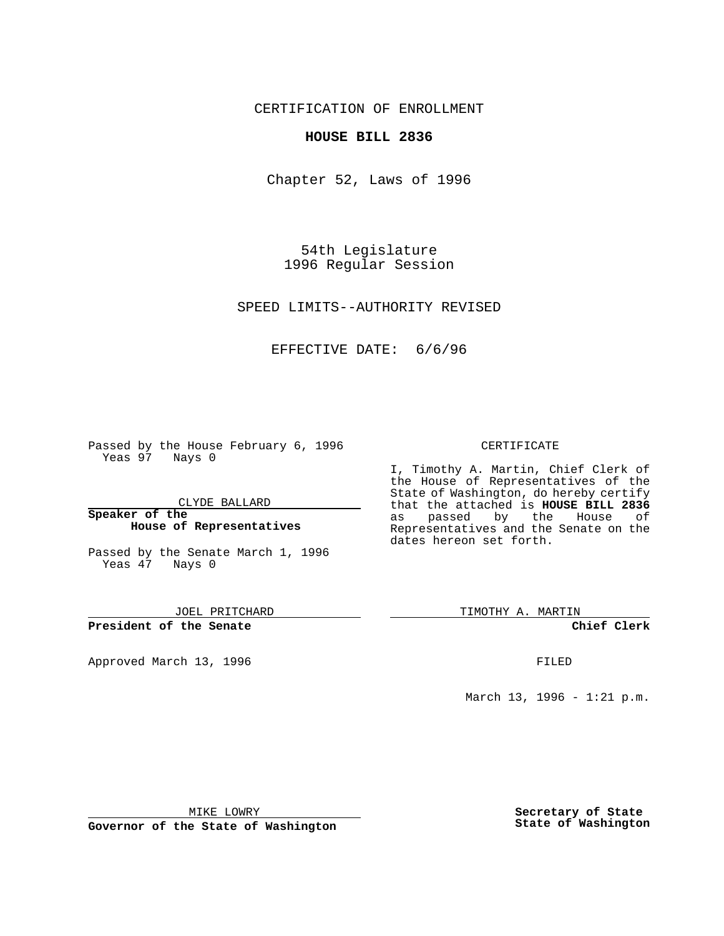CERTIFICATION OF ENROLLMENT

## **HOUSE BILL 2836**

Chapter 52, Laws of 1996

54th Legislature 1996 Regular Session

SPEED LIMITS--AUTHORITY REVISED

EFFECTIVE DATE: 6/6/96

Passed by the House February 6, 1996 Yeas 97 Nays 0

CLYDE BALLARD

**Speaker of the House of Representatives**

Passed by the Senate March 1, 1996 Yeas 47 Nays 0

JOEL PRITCHARD

**President of the Senate**

Approved March 13, 1996 FILED

## CERTIFICATE

I, Timothy A. Martin, Chief Clerk of the House of Representatives of the State of Washington, do hereby certify that the attached is **HOUSE BILL 2836** by the House of Representatives and the Senate on the dates hereon set forth.

TIMOTHY A. MARTIN

**Chief Clerk**

March 13, 1996 - 1:21 p.m.

MIKE LOWRY

**Governor of the State of Washington**

**Secretary of State State of Washington**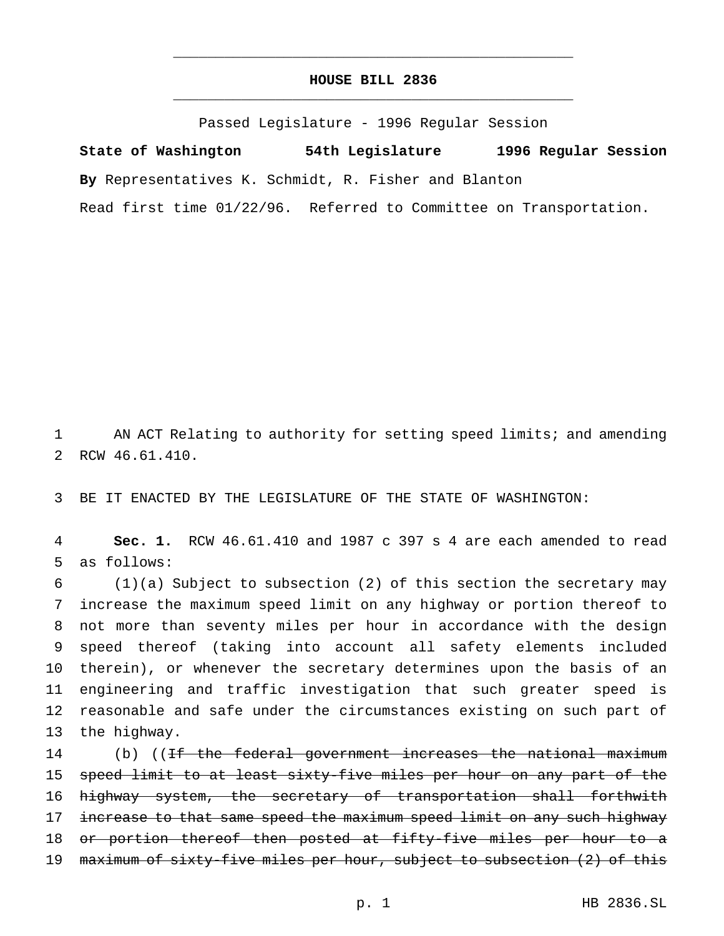## **HOUSE BILL 2836** \_\_\_\_\_\_\_\_\_\_\_\_\_\_\_\_\_\_\_\_\_\_\_\_\_\_\_\_\_\_\_\_\_\_\_\_\_\_\_\_\_\_\_\_\_\_\_

\_\_\_\_\_\_\_\_\_\_\_\_\_\_\_\_\_\_\_\_\_\_\_\_\_\_\_\_\_\_\_\_\_\_\_\_\_\_\_\_\_\_\_\_\_\_\_

Passed Legislature - 1996 Regular Session

**State of Washington 54th Legislature 1996 Regular Session By** Representatives K. Schmidt, R. Fisher and Blanton Read first time 01/22/96. Referred to Committee on Transportation.

1 AN ACT Relating to authority for setting speed limits; and amending 2 RCW 46.61.410.

3 BE IT ENACTED BY THE LEGISLATURE OF THE STATE OF WASHINGTON:

4 **Sec. 1.** RCW 46.61.410 and 1987 c 397 s 4 are each amended to read 5 as follows:

 (1)(a) Subject to subsection (2) of this section the secretary may increase the maximum speed limit on any highway or portion thereof to not more than seventy miles per hour in accordance with the design speed thereof (taking into account all safety elements included therein), or whenever the secretary determines upon the basis of an engineering and traffic investigation that such greater speed is reasonable and safe under the circumstances existing on such part of the highway.

14 (b) ((<del>If the federal government increases the national maximum</del> 15 speed limit to at least sixty-five miles per hour on any part of the 16 highway system, the secretary of transportation shall forthwith 17 increase to that same speed the maximum speed limit on any such highway 18 or portion thereof then posted at fifty-five miles per hour to a 19 maximum of sixty-five miles per hour, subject to subsection (2) of this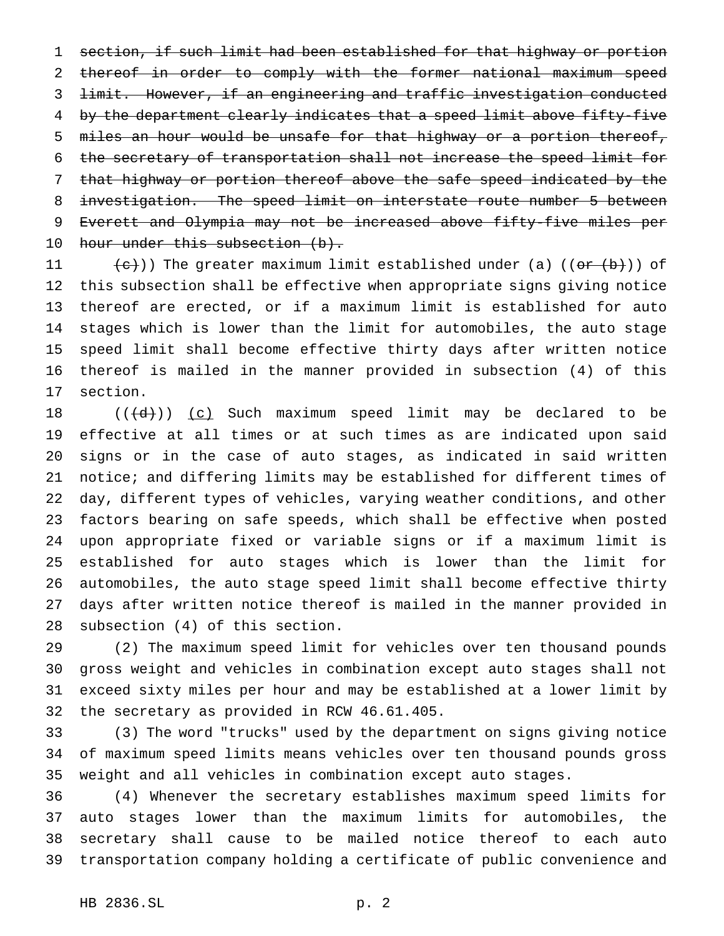section, if such limit had been established for that highway or portion thereof in order to comply with the former national maximum speed limit. However, if an engineering and traffic investigation conducted 4 by the department clearly indicates that a speed limit above fifty-five miles an hour would be unsafe for that highway or a portion thereof, the secretary of transportation shall not increase the speed limit for that highway or portion thereof above the safe speed indicated by the investigation. The speed limit on interstate route number 5 between Everett and Olympia may not be increased above fifty-five miles per 10 hour under this subsection (b).

 $\left( \frac{e}{c}\right)$ ) The greater maximum limit established under (a) (( $e$ <del>r (b)</del>)) of this subsection shall be effective when appropriate signs giving notice thereof are erected, or if a maximum limit is established for auto stages which is lower than the limit for automobiles, the auto stage speed limit shall become effective thirty days after written notice thereof is mailed in the manner provided in subsection (4) of this section.

 $((\{d\}) \cup (c)$  Such maximum speed limit may be declared to be effective at all times or at such times as are indicated upon said signs or in the case of auto stages, as indicated in said written notice; and differing limits may be established for different times of day, different types of vehicles, varying weather conditions, and other factors bearing on safe speeds, which shall be effective when posted upon appropriate fixed or variable signs or if a maximum limit is established for auto stages which is lower than the limit for automobiles, the auto stage speed limit shall become effective thirty days after written notice thereof is mailed in the manner provided in subsection (4) of this section.

 (2) The maximum speed limit for vehicles over ten thousand pounds gross weight and vehicles in combination except auto stages shall not exceed sixty miles per hour and may be established at a lower limit by the secretary as provided in RCW 46.61.405.

 (3) The word "trucks" used by the department on signs giving notice of maximum speed limits means vehicles over ten thousand pounds gross weight and all vehicles in combination except auto stages.

 (4) Whenever the secretary establishes maximum speed limits for auto stages lower than the maximum limits for automobiles, the secretary shall cause to be mailed notice thereof to each auto transportation company holding a certificate of public convenience and